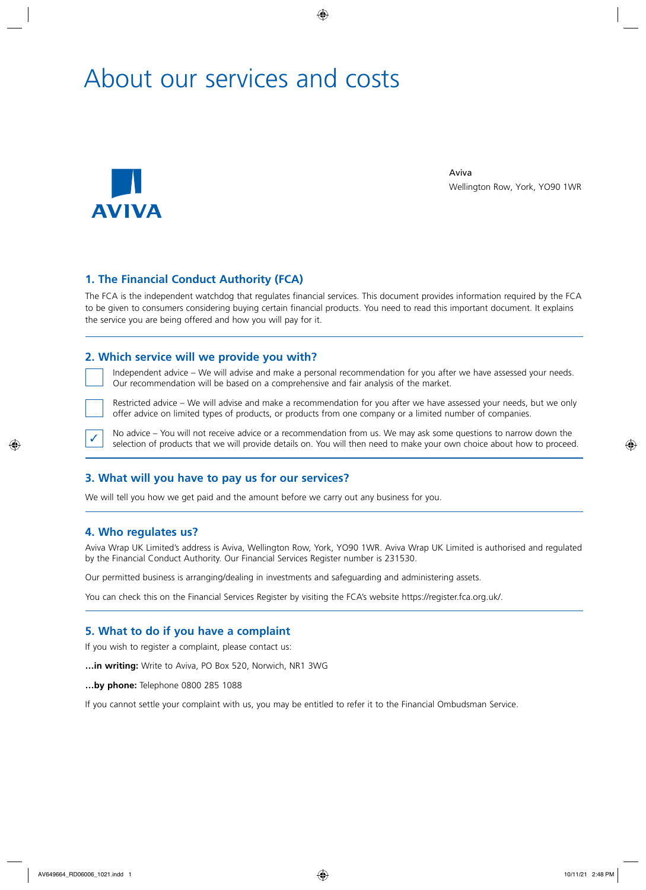# About our services and costs



Aviva Wellington Row, York, YO90 1WR

## **1. The Financial Conduct Authority (FCA)**

The FCA is the independent watchdog that regulates financial services. This document provides information required by the FCA to be given to consumers considering buying certain financial products. You need to read this important document. It explains the service you are being offered and how you will pay for it.

### **2. Which service will we provide you with?**

 Independent advice – We will advise and make a personal recommendation for you after we have assessed your needs. Our recommendation will be based on a comprehensive and fair analysis of the market.

 Restricted advice – We will advise and make a recommendation for you after we have assessed your needs, but we only offer advice on limited types of products, or products from one company or a limited number of companies.

No advice – You will not receive advice or a recommendation from us. We may ask some questions to narrow down the selection of products that we will provide details on. You will then need to make your own choice about how to proceed.

## **3. What will you have to pay us for our services?**

We will tell you how we get paid and the amount before we carry out any business for you.

#### **4. Who regulates us?**

Aviva Wrap UK Limited's address is Aviva, Wellington Row, York, YO90 1WR. Aviva Wrap UK Limited is authorised and regulated by the Financial Conduct Authority. Our Financial Services Register number is 231530.

Our permitted business is arranging/dealing in investments and safeguarding and administering assets.

You can check this on the Financial Services Register by visiting the FCA's website https://register.fca.org.uk/.

#### **5. What to do if you have a complaint**

If you wish to register a complaint, please contact us:

**…in writing:** Write to Aviva, PO Box 520, Norwich, NR1 3WG

**…by phone:** Telephone 0800 285 1088

If you cannot settle your complaint with us, you may be entitled to refer it to the Financial Ombudsman Service.